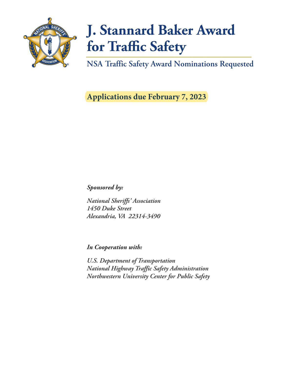

# **J. Stannard Baker Award for Traffic Safety**

**NSA Traffic Safety Award Nominations Requested**

**Applications due February 7, 2023**

*Sponsored by:*

*National Sheriffs' Association 1450 Duke Street Alexandria, VA 22314-3490*

*In Cooperation with:*

*U.S. Department of Transportation National Highway Traffic Safety Administration Northwestern University Center for Public Safety*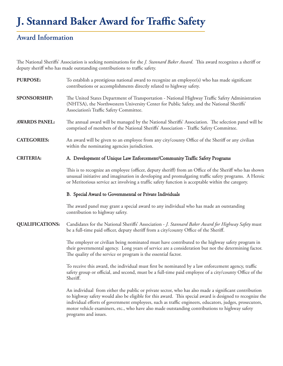## **J. Stannard Baker Award for Traffic Safety**

#### **Award Information**

The National Sheriffs' Association is seeking nominations for the *J. Stannard Baker Award*. This award recognizes a sheriff or deputy sheriff who has made outstanding contributions to traffic safety.

| <b>PURPOSE:</b>        | To establish a prestigious national award to recognize an employee(s) who has made significant<br>contributions or accomplishments directly related to highway safety.                                                                                                                                             |  |  |
|------------------------|--------------------------------------------------------------------------------------------------------------------------------------------------------------------------------------------------------------------------------------------------------------------------------------------------------------------|--|--|
| <b>SPONSORSHIP:</b>    | The United States Department of Transportation - National Highway Traffic Safety Administration<br>(NHTSA), the Northwestern University Center for Public Safety, and the National Sheriffs'<br>Association's Traffic Safety Committee.                                                                            |  |  |
| <b>AWARDS PANEL:</b>   | The annual award will be managed by the National Sheriffs' Association. The selection panel will be<br>comprised of members of the National Sheriffs' Association - Traffic Safety Committee.                                                                                                                      |  |  |
| <b>CATEGORIES:</b>     | An award will be given to an employee from any city/county Office of the Sheriff or any civilian<br>within the nominating agencies jurisdiction.                                                                                                                                                                   |  |  |
| <b>CRITERIA:</b>       | A. Development of Unique Law Enforcement/Community Traffic Safety Programs                                                                                                                                                                                                                                         |  |  |
|                        | This is to recognize an employee (officer, deputy sheriff) from an Office of the Sheriff who has shown<br>unusual initiative and imagination in developing and promulgating traffic safety programs. A Heroic<br>or Meritorious service act involving a traffic safety function is acceptable within the category. |  |  |
|                        | B. Special Award to Governmental or Private Individuals                                                                                                                                                                                                                                                            |  |  |
|                        | The award panel may grant a special award to any individual who has made an outstanding<br>contribution to highway safety.                                                                                                                                                                                         |  |  |
| <b>QUALIFICATIONS:</b> | Candidates for the National Sheriffs' Association - J. Stannard Baker Award for Highway Safety must<br>be a full-time paid officer, deputy sheriff from a city/county Office of the Sheriff.                                                                                                                       |  |  |
|                        | The employer or civilian being nominated must have contributed to the highway safety program in<br>their governmental agency. Long years of service are a consideration but not the determining factor.<br>The quality of the service or program is the essential factor.                                          |  |  |

To receive this award, the individual must first be nominated by a law enforcement agency, traffic safety group or official, and second, must be a full-time paid employee of a city/county Office of the Sheriff.

An individual from either the public or private sector, who has also made a significant contribution to highway safety would also be eligible for this award. This special award is designed to recognize the individual efforts of government employees, such as traffic engineers, educators, judges, prosecutors, motor vehicle examiners, etc., who have also made outstanding contributions to highway safety programs and issues.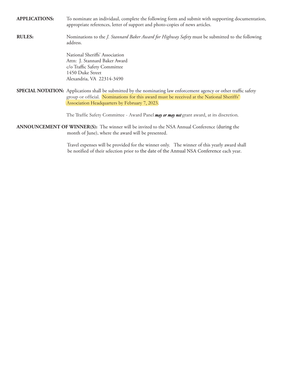**APPLICATIONS:** To nominate an individaul, complete the following form and submit with supporting documentation, appropriate references, letter of support and photo-copies of news articles.

**RULES:** Nominations to the *J. Stannard Baker Award for Highway Safety* must be submitted to the following address.

> National Sheriffs' Association Attn: J. Stannard Baker Award c/o Traffic Safety Committee 1450 Duke Street Alexandria, VA 22314-3490

**SPECIAL NOTATION:** Applications shall be submitted by the nominating law enforcement agency or other traffic safety group or official. Nominations for this award must be received at the National Sheriffs' Association Headquarters by February 7, 2023.

The Traffic Safety Committee - Award Panel *may or may not* grant award, at its discretion.

**ANNOUNCEMENT OF WINNER(S):** The winner will be invited to the NSA Annual Conference (during the month of June), where the award will be presented.

> Travel expenses will be provided for the winner only. The winner of this yearly award shall be notified of their selection prior to the date of the Annual NSA Conference each year.